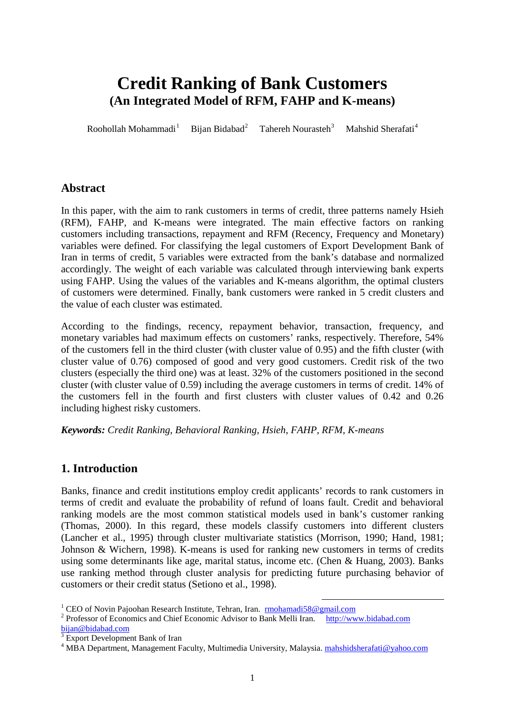# **Credit Ranking of Bank Customers (An Integrated Model of RFM, FAHP and K-means)**

Roohollah Mohammadi $<sup>1</sup>$  $<sup>1</sup>$  $<sup>1</sup>$ </sup> Bijan Bidabad<sup>[2](#page-0-1)</sup> Tahereh Nourasteh<sup>[3](#page-0-2)</sup> Mahshid Sherafati<sup>[4](#page-0-3)</sup>

## **Abstract**

In this paper, with the aim to rank customers in terms of credit, three patterns namely Hsieh (RFM), FAHP, and K-means were integrated. The main effective factors on ranking customers including transactions, repayment and RFM (Recency, Frequency and Monetary) variables were defined. For classifying the legal customers of Export Development Bank of Iran in terms of credit, 5 variables were extracted from the bank's database and normalized accordingly. The weight of each variable was calculated through interviewing bank experts using FAHP. Using the values of the variables and K-means algorithm, the optimal clusters of customers were determined. Finally, bank customers were ranked in 5 credit clusters and the value of each cluster was estimated.

According to the findings, recency, repayment behavior, transaction, frequency, and monetary variables had maximum effects on customers' ranks, respectively. Therefore, 54% of the customers fell in the third cluster (with cluster value of 0.95) and the fifth cluster (with cluster value of 0.76) composed of good and very good customers. Credit risk of the two clusters (especially the third one) was at least. 32% of the customers positioned in the second cluster (with cluster value of 0.59) including the average customers in terms of credit. 14% of the customers fell in the fourth and first clusters with cluster values of 0.42 and 0.26 including highest risky customers.

*Keywords: Credit Ranking, Behavioral Ranking, Hsieh, FAHP, RFM, K-means* 

# **1. Introduction**

Banks, finance and credit institutions employ credit applicants' records to rank customers in terms of credit and evaluate the probability of refund of loans fault. Credit and behavioral ranking models are the most common statistical models used in bank's customer ranking (Thomas, 2000). In this regard, these models classify customers into different clusters (Lancher et al., 1995) through cluster multivariate statistics (Morrison, 1990; Hand, 1981; Johnson & Wichern, 1998). K-means is used for ranking new customers in terms of credits using some determinants like age, marital status, income etc. (Chen & Huang, 2003). Banks use ranking method through cluster analysis for predicting future purchasing behavior of customers or their credit status (Setiono et al., 1998).

<span id="page-0-0"></span><sup>&</sup>lt;sup>1</sup> CEO of Novin Pajoohan Research Institute, Tehran, Iran. **[rmohamadi58@gmail.com](mailto:rmohamadi58@gmail.com)** <sup>2</sup> Professor of Economics and Chief Economic Advisor to Bank Melli Iran. [http://www.bidabad.com](http://www.bidabad.com/)

<span id="page-0-1"></span>[bijan@bidabad.com](mailto:bijan@bidabad.com)

<sup>3</sup> Export Development Bank of Iran

<span id="page-0-3"></span><span id="page-0-2"></span><sup>&</sup>lt;sup>4</sup> MBA Department, Management Faculty, Multimedia University, Malaysia. mahshidsherafati@yahoo.com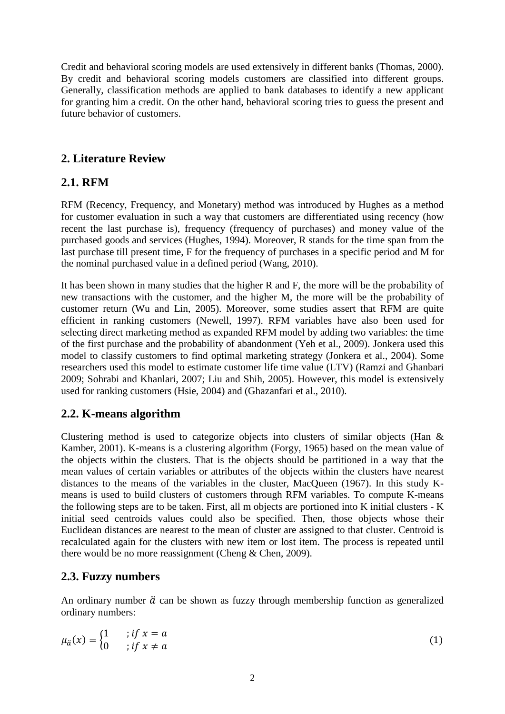Credit and behavioral scoring models are used extensively in different banks (Thomas, 2000). By credit and behavioral scoring models customers are classified into different groups. Generally, classification methods are applied to bank databases to identify a new applicant for granting him a credit. On the other hand, behavioral scoring tries to guess the present and future behavior of customers.

## **2. Literature Review**

# **2.1. RFM**

RFM (Recency, Frequency, and Monetary) method was introduced by Hughes as a method for customer evaluation in such a way that customers are differentiated using recency (how recent the last purchase is), frequency (frequency of purchases) and money value of the purchased goods and services (Hughes, 1994). Moreover, R stands for the time span from the last purchase till present time, F for the frequency of purchases in a specific period and M for the nominal purchased value in a defined period (Wang, 2010).

It has been shown in many studies that the higher R and F, the more will be the probability of new transactions with the customer, and the higher M, the more will be the probability of customer return (Wu and Lin, 2005). Moreover, some studies assert that RFM are quite efficient in ranking customers (Newell, 1997). RFM variables have also been used for selecting direct marketing method as expanded RFM model by adding two variables: the time of the first purchase and the probability of abandonment (Yeh et al., 2009). Jonkera used this model to classify customers to find optimal marketing strategy (Jonkera et al., 2004). Some researchers used this model to estimate customer life time value (LTV) (Ramzi and Ghanbari 2009; Sohrabi and Khanlari, 2007; Liu and Shih, 2005). However, this model is extensively used for ranking customers (Hsie, 2004) and (Ghazanfari et al., 2010).

# **2.2. K-means algorithm**

Clustering method is used to categorize objects into clusters of similar objects (Han & Kamber, 2001). K-means is a clustering algorithm (Forgy, 1965) based on the mean value of the objects within the clusters. That is the objects should be partitioned in a way that the mean values of certain variables or attributes of the objects within the clusters have nearest distances to the means of the variables in the cluster, MacQueen (1967). In this study Kmeans is used to build clusters of customers through RFM variables. To compute K-means the following steps are to be taken. First, all m objects are portioned into K initial clusters - K initial seed centroids values could also be specified. Then, those objects whose their Euclidean distances are nearest to the mean of cluster are assigned to that cluster. Centroid is recalculated again for the clusters with new item or lost item. The process is repeated until there would be no more reassignment (Cheng & Chen, 2009).

## **2.3. Fuzzy numbers**

An ordinary number  $\ddot{a}$  can be shown as fuzzy through membership function as generalized ordinary numbers:

$$
\mu_{\ddot{a}}(x) = \begin{cases} 1 & \text{if } x = a \\ 0 & \text{if } x \neq a \end{cases} \tag{1}
$$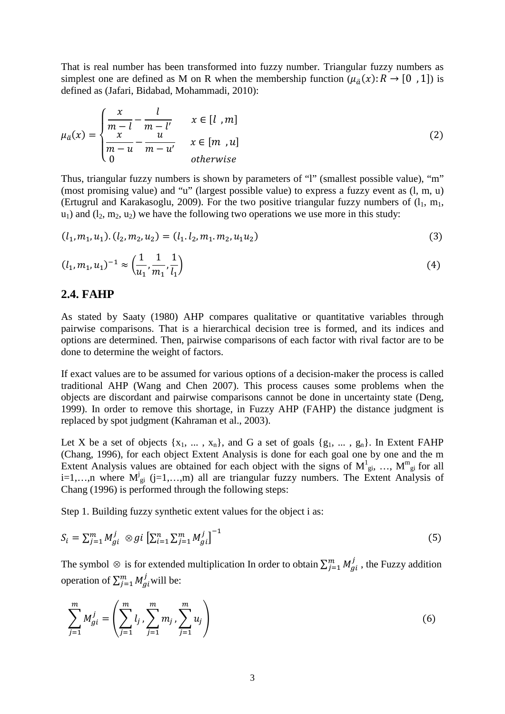That is real number has been transformed into fuzzy number. Triangular fuzzy numbers as simplest one are defined as M on R when the membership function  $(\mu_{\tilde{a}}(x): R \to [0, 1])$  is defined as (Jafari, Bidabad, Mohammadi, 2010):

$$
\mu_{\ddot{\alpha}}(x) = \begin{cases}\n\frac{x}{m-l} - \frac{l}{m-l'} & x \in [l, m] \\
\frac{x}{m-u} - \frac{u}{m-u'} & x \in [m, u] \\
0 & otherwise\n\end{cases}
$$
\n(2)

Thus, triangular fuzzy numbers is shown by parameters of "l" (smallest possible value), "m" (most promising value) and "u" (largest possible value) to express a fuzzy event as (l, m, u) (Ertugrul and Karakasoglu, 2009). For the two positive triangular fuzzy numbers of  $(l_1, m_1,$  $u_1$ ) and  $(l_2, m_2, u_2)$  we have the following two operations we use more in this study:

$$
(l_1, m_1, u_1) \cdot (l_2, m_2, u_2) = (l_1, l_2, m_1, m_2, u_1 u_2) \tag{3}
$$

$$
(l_1, m_1, u_1)^{-1} \approx \left(\frac{1}{u_1}, \frac{1}{m_1}, \frac{1}{l_1}\right) \tag{4}
$$

#### **2.4. FAHP**

As stated by Saaty (1980) AHP compares qualitative or quantitative variables through pairwise comparisons. That is a hierarchical decision tree is formed, and its indices and options are determined. Then, pairwise comparisons of each factor with rival factor are to be done to determine the weight of factors.

If exact values are to be assumed for various options of a decision-maker the process is called traditional AHP (Wang and Chen 2007). This process causes some problems when the objects are discordant and pairwise comparisons cannot be done in uncertainty state (Deng, 1999). In order to remove this shortage, in Fuzzy AHP (FAHP) the distance judgment is replaced by spot judgment (Kahraman et al., 2003).

Let X be a set of objects  $\{x_1, \ldots, x_n\}$ , and G a set of goals  $\{g_1, \ldots, g_n\}$ . In Extent FAHP (Chang, 1996), for each object Extent Analysis is done for each goal one by one and the m Extent Analysis values are obtained for each object with the signs of  $M_{gi}^1$ , ...,  $M_{gi}^m$  for all i=1,...,n where  $M_{gi}^{j}$  (j=1,...,m) all are triangular fuzzy numbers. The Extent Analysis of Chang (1996) is performed through the following steps:

Step 1. Building fuzzy synthetic extent values for the object i as:

$$
S_i = \sum_{j=1}^{m} M_{gi}^j \otimes gi \left[ \sum_{i=1}^{n} \sum_{j=1}^{m} M_{gi}^j \right]^{-1}
$$
 (5)

The symbol  $\otimes$  is for extended multiplication In order to obtain  $\sum_{j=1}^{m} M_{gi}^j$ , the Fuzzy addition operation of  $\sum_{j=1}^{m} M_{gi}^{j}$  will be:

$$
\sum_{j=1}^{m} M_{gi}^{j} = \left( \sum_{j=1}^{m} l_j \sum_{j=1}^{m} m_j \sum_{j=1}^{m} u_j \right)
$$
 (6)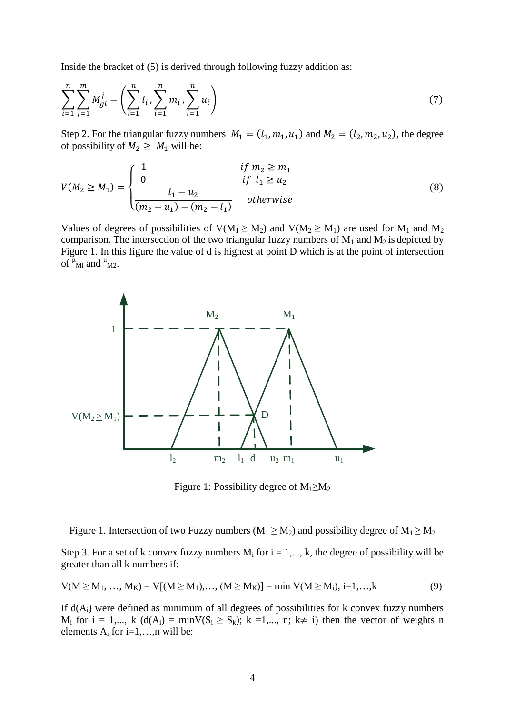Inside the bracket of (5) is derived through following fuzzy addition as:

$$
\sum_{i=1}^{n} \sum_{j=1}^{m} M_{gi}^{j} = \left( \sum_{i=1}^{n} l_i, \sum_{i=1}^{n} m_i, \sum_{i=1}^{n} u_i \right)
$$
 (7)

Step 2. For the triangular fuzzy numbers  $M_1 = (l_1, m_1, u_1)$  and  $M_2 = (l_2, m_2, u_2)$ , the degree of possibility of  $M_2 \geq M_1$  will be:

$$
V(M_2 \ge M_1) = \begin{cases} 1 & \text{if } m_2 \ge m_1 \\ 0 & \text{if } l_1 \ge u_2 \\ \frac{l_1 - u_2}{(m_2 - u_1) - (m_2 - l_1)} & \text{otherwise} \end{cases}
$$
(8)

Values of degrees of possibilities of  $V(M_1 \ge M_2)$  and  $V(M_2 \ge M_1)$  are used for  $M_1$  and  $M_2$ comparison. The intersection of the two triangular fuzzy numbers of  $M_1$  and  $M_2$  is depicted by Figure 1. In this figure the value of d is highest at point D which is at the point of intersection of  $\mu$ <sub>Ml</sub> and  $\mu$ <sub>M2</sub>.



Figure 1: Possibility degree of  $M_1 \geq M_2$ 

Figure 1. Intersection of two Fuzzy numbers ( $M_1 \ge M_2$ ) and possibility degree of  $M_1 \ge M_2$ 

Step 3. For a set of k convex fuzzy numbers  $M_i$  for  $i = 1,..., k$ , the degree of possibility will be greater than all k numbers if:

$$
V(M \ge M_1, ..., M_K) = V[(M \ge M_1), ..., (M \ge M_K)] = \min V(M \ge M_i), i=1,...,k
$$
\n(9)

If  $d(A_i)$  were defined as minimum of all degrees of possibilities for k convex fuzzy numbers  $M_i$  for  $i = 1,..., k$  ( $d(A_i) = minV(S_i \ge S_k)$ ;  $k = 1,..., n$ ;  $k \ne i$ ) then the vector of weights n elements  $A_i$  for i=1,...,n will be: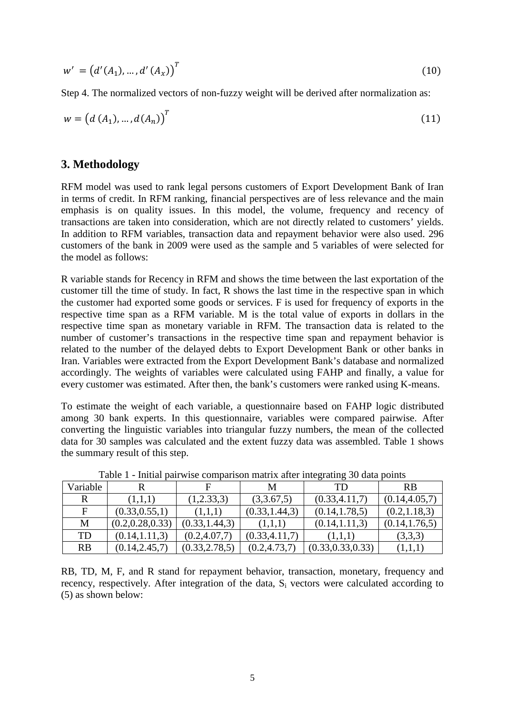$$
w' = (d'(A_1), ..., d'(A_x))^T
$$
 (10)

Step 4. The normalized vectors of non-fuzzy weight will be derived after normalization as:

$$
w = (d (A_1), ..., d (A_n))^{T}
$$
 (11)

## **3. Methodology**

RFM model was used to rank legal persons customers of Export Development Bank of Iran in terms of credit. In RFM ranking, financial perspectives are of less relevance and the main emphasis is on quality issues. In this model, the volume, frequency and recency of transactions are taken into consideration, which are not directly related to customers' yields. In addition to RFM variables, transaction data and repayment behavior were also used. 296 customers of the bank in 2009 were used as the sample and 5 variables of were selected for the model as follows:

R variable stands for Recency in RFM and shows the time between the last exportation of the customer till the time of study. In fact, R shows the last time in the respective span in which the customer had exported some goods or services. F is used for frequency of exports in the respective time span as a RFM variable. M is the total value of exports in dollars in the respective time span as monetary variable in RFM. The transaction data is related to the number of customer's transactions in the respective time span and repayment behavior is related to the number of the delayed debts to Export Development Bank or other banks in Iran. Variables were extracted from the Export Development Bank's database and normalized accordingly. The weights of variables were calculated using FAHP and finally, a value for every customer was estimated. After then, the bank's customers were ranked using K-means.

To estimate the weight of each variable, a questionnaire based on FAHP logic distributed among 30 bank experts. In this questionnaire, variables were compared pairwise. After converting the linguistic variables into triangular fuzzy numbers, the mean of the collected data for 30 samples was calculated and the extent fuzzy data was assembled. Table 1 shows the summary result of this step.

| Variable    |                   |                 | М               | TD                 | <b>RB</b>       |
|-------------|-------------------|-----------------|-----------------|--------------------|-----------------|
| R           | (1,1,1)           | (1,2.33,3)      | (3,3.67,5)      | (0.33, 4.11, 7)    | (0.14, 4.05, 7) |
| $\mathbf F$ | (0.33, 0.55, 1)   | (1,1,1)         | (0.33, 1.44, 3) | (0.14, 1.78, 5)    | (0.2, 1.18, 3)  |
| М           | (0.2, 0.28, 0.33) | (0.33, 1.44, 3) | (1,1,1)         | (0.14, 1.11, 3)    | (0.14, 1.76, 5) |
| <b>TD</b>   | (0.14, 1.11, 3)   | (0.2, 4.07, 7)  | (0.33, 4.11, 7) | (1,1,1)            | (3,3,3)         |
| RB          | (0.14, 2.45, 7)   | (0.33, 2.78, 5) | (0.2, 4.73, 7)  | (0.33, 0.33, 0.33) | (1,1,1)         |

Table 1 - Initial pairwise comparison matrix after integrating 30 data points

RB, TD, M, F, and R stand for repayment behavior, transaction, monetary, frequency and recency, respectively. After integration of the data,  $S_i$  vectors were calculated according to (5) as shown below: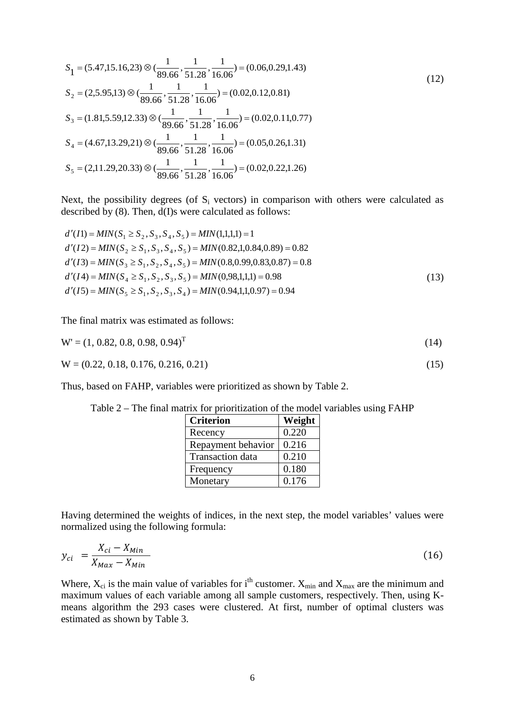$$
S_1 = (5.47, 15.16, 23) \otimes \left(\frac{1}{89.66}, \frac{1}{51.28}, \frac{1}{16.06}\right) = (0.06, 0.29, 1.43)
$$
  
\n
$$
S_2 = (2, 5.95, 13) \otimes \left(\frac{1}{89.66}, \frac{1}{51.28}, \frac{1}{16.06}\right) = (0.02, 0.12, 0.81)
$$
  
\n
$$
S_3 = (1.81, 5.59, 12.33) \otimes \left(\frac{1}{89.66}, \frac{1}{51.28}, \frac{1}{16.06}\right) = (0.02, 0.11, 0.77)
$$
  
\n
$$
S_4 = (4.67, 13.29, 21) \otimes \left(\frac{1}{89.66}, \frac{1}{51.28}, \frac{1}{16.06}\right) = (0.05, 0.26, 1.31)
$$
  
\n
$$
S_5 = (2, 11.29, 20.33) \otimes \left(\frac{1}{89.66}, \frac{1}{51.28}, \frac{1}{16.06}\right) = (0.02, 0.22, 1.26)
$$
  
\n(12)

Next, the possibility degrees (of  $S_i$  vectors) in comparison with others were calculated as described by (8). Then, d(I)s were calculated as follows:

$$
d'(I1) = MIN(S_1 \ge S_2, S_3, S_4, S_5) = MIN(1,1,1,1) = 1
$$
  
\n
$$
d'(I2) = MIN(S_2 \ge S_1, S_3, S_4, S_5) = MIN(0.82,1,0.84,0.89) = 0.82
$$
  
\n
$$
d'(I3) = MIN(S_3 \ge S_1, S_2, S_4, S_5) = MIN(0.8,0.99,0.83,0.87) = 0.8
$$
  
\n
$$
d'(I4) = MIN(S_4 \ge S_1, S_2, S_3, S_5) = MIN(0.98,1,1,1) = 0.98
$$
  
\n
$$
d'(I5) = MIN(S_5 \ge S_1, S_2, S_3, S_4) = MIN(0.94,1,1,0.97) = 0.94
$$
\n(13)

The final matrix was estimated as follows:

$$
W' = (1, 0.82, 0.8, 0.98, 0.94)^T
$$
\n(14)

$$
W = (0.22, 0.18, 0.176, 0.216, 0.21)
$$
\n
$$
(15)
$$

Thus, based on FAHP, variables were prioritized as shown by Table 2.

| <b>Criterion</b>        | Weight |
|-------------------------|--------|
| Recency                 | 0.220  |
| Repayment behavior      | 0.216  |
| <b>Transaction</b> data | 0.210  |
| Frequency               | 0.180  |
| Monetary                | 0.176  |

Table 2 – The final matrix for prioritization of the model variables using FAHP

Having determined the weights of indices, in the next step, the model variables' values were normalized using the following formula:

$$
y_{ci} = \frac{X_{ci} - X_{Min}}{X_{Max} - X_{Min}}
$$
\n
$$
(16)
$$

Where,  $X_{ci}$  is the main value of variables for i<sup>th</sup> customer.  $X_{min}$  and  $X_{max}$  are the minimum and maximum values of each variable among all sample customers, respectively. Then, using Kmeans algorithm the 293 cases were clustered. At first, number of optimal clusters was estimated as shown by Table 3.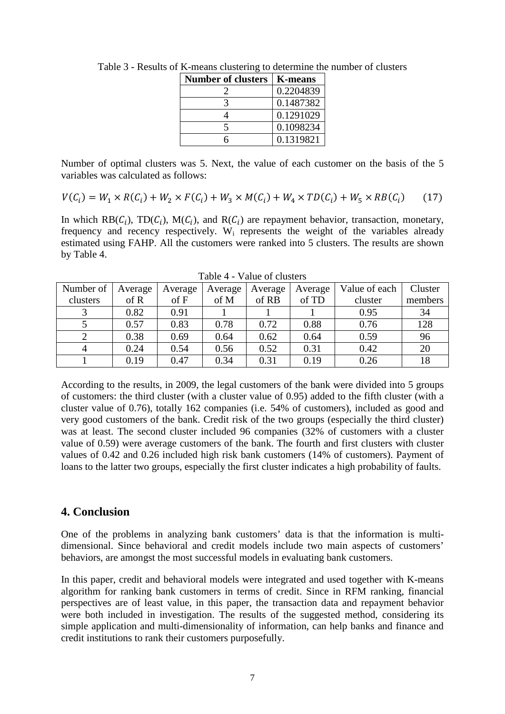| <b>Number of clusters</b> | <b>K-means</b> |
|---------------------------|----------------|
|                           | 0.2204839      |
|                           | 0.1487382      |
|                           | 0.1291029      |
|                           | 0.1098234      |
|                           | 0.1319821      |

Table 3 - Results of K-means clustering to determine the number of clusters

Number of optimal clusters was 5. Next, the value of each customer on the basis of the 5 variables was calculated as follows:

$$
V(C_i) = W_1 \times R(C_i) + W_2 \times F(C_i) + W_3 \times M(C_i) + W_4 \times TD(C_i) + W_5 \times RB(C_i)
$$
 (17)

In which  $RB(C_i)$ ,  $TD(C_i)$ ,  $M(C_i)$ , and  $R(C_i)$  are repayment behavior, transaction, monetary, frequency and recency respectively. Wi represents the weight of the variables already estimated using FAHP. All the customers were ranked into 5 clusters. The results are shown by Table 4.

| Number of | Average | Average     | Average | Average | Average | Value of each | Cluster |
|-----------|---------|-------------|---------|---------|---------|---------------|---------|
| clusters  | of R    | of <b>F</b> | of M    | of RB   | of TD   | cluster       | members |
|           | 0.82    | 0.91        |         |         |         | 0.95          | 34      |
|           | 0.57    | 0.83        | 0.78    | 0.72    | 0.88    | 0.76          | 128     |
|           | 0.38    | 0.69        | 0.64    | 0.62    | 0.64    | 0.59          | 96      |
|           | 0.24    | 0.54        | 0.56    | 0.52    | 0.31    | 0.42          | 20      |
|           | 0.19    | 0.47        | 0.34    | 0.31    | 0.19    | 0.26          | 18      |

Table 4 - Value of clusters

According to the results, in 2009, the legal customers of the bank were divided into 5 groups of customers: the third cluster (with a cluster value of 0.95) added to the fifth cluster (with a cluster value of 0.76), totally 162 companies (i.e. 54% of customers), included as good and very good customers of the bank. Credit risk of the two groups (especially the third cluster) was at least. The second cluster included 96 companies (32% of customers with a cluster value of 0.59) were average customers of the bank. The fourth and first clusters with cluster values of 0.42 and 0.26 included high risk bank customers (14% of customers). Payment of loans to the latter two groups, especially the first cluster indicates a high probability of faults.

### **4. Conclusion**

One of the problems in analyzing bank customers' data is that the information is multidimensional. Since behavioral and credit models include two main aspects of customers' behaviors, are amongst the most successful models in evaluating bank customers.

In this paper, credit and behavioral models were integrated and used together with K-means algorithm for ranking bank customers in terms of credit. Since in RFM ranking, financial perspectives are of least value, in this paper, the transaction data and repayment behavior were both included in investigation. The results of the suggested method, considering its simple application and multi-dimensionality of information, can help banks and finance and credit institutions to rank their customers purposefully.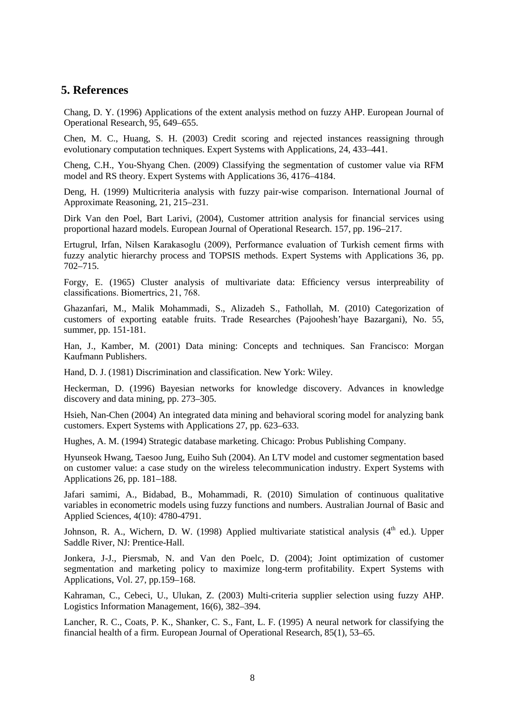#### **5. References**

Chang, D. Y. (1996) Applications of the extent analysis method on fuzzy AHP. European Journal of Operational Research, 95, 649–655.

Chen, M. C., Huang, S. H. (2003) Credit scoring and rejected instances reassigning through evolutionary computation techniques. Expert Systems with Applications, 24, 433–441.

Cheng, C.H., You-Shyang Chen. (2009) Classifying the segmentation of customer value via RFM model and RS theory. Expert Systems with Applications 36, 4176–4184.

Deng, H. (1999) Multicriteria analysis with fuzzy pair-wise comparison. International Journal of Approximate Reasoning, 21, 215–231.

Dirk Van den Poel, Bart Larivi, (2004), Customer attrition analysis for financial services using proportional hazard models. European Journal of Operational Research. 157, pp. 196–217.

Ertugrul, Irfan, Nilsen Karakasoglu (2009), Performance evaluation of Turkish cement firms with fuzzy analytic hierarchy process and TOPSIS methods. Expert Systems with Applications 36, pp. 702–715.

Forgy, E. (1965) Cluster analysis of multivariate data: Efficiency versus interpreability of classifications. Biomertrics, 21, 768.

Ghazanfari, M., Malik Mohammadi, S., Alizadeh S., Fathollah, M. (2010) Categorization of customers of exporting eatable fruits. Trade Researches (Pajoohesh'haye Bazargani), No. 55, summer, pp. 151-181.

Han, J., Kamber, M. (2001) Data mining: Concepts and techniques. San Francisco: Morgan Kaufmann Publishers.

Hand, D. J. (1981) Discrimination and classification. New York: Wiley.

Heckerman, D. (1996) Bayesian networks for knowledge discovery. Advances in knowledge discovery and data mining, pp. 273–305.

Hsieh, Nan-Chen (2004) An integrated data mining and behavioral scoring model for analyzing bank customers. Expert Systems with Applications 27, pp. 623–633.

Hughes, A. M. (1994) Strategic database marketing. Chicago: Probus Publishing Company.

Hyunseok Hwang, Taesoo Jung, Euiho Suh (2004). An LTV model and customer segmentation based on customer value: a case study on the wireless telecommunication industry. Expert Systems with Applications 26, pp. 181–188.

Jafari samimi, A., Bidabad, B., Mohammadi, R. (2010) Simulation of continuous qualitative variables in econometric models using fuzzy functions and numbers. Australian Journal of Basic and Applied Sciences, 4(10): 4780-4791.

Johnson, R. A., Wichern, D. W. (1998) Applied multivariate statistical analysis  $(4<sup>th</sup>$  ed.). Upper Saddle River, NJ: Prentice-Hall.

Jonkera, J-J., Piersmab, N. and Van den Poelc, D. (2004); Joint optimization of customer segmentation and marketing policy to maximize long-term profitability. Expert Systems with Applications, Vol. 27, pp.159–168.

Kahraman, C., Cebeci, U., Ulukan, Z. (2003) Multi-criteria supplier selection using fuzzy AHP. Logistics Information Management, 16(6), 382–394.

Lancher, R. C., Coats, P. K., Shanker, C. S., Fant, L. F. (1995) A neural network for classifying the financial health of a firm. European Journal of Operational Research, 85(1), 53–65.